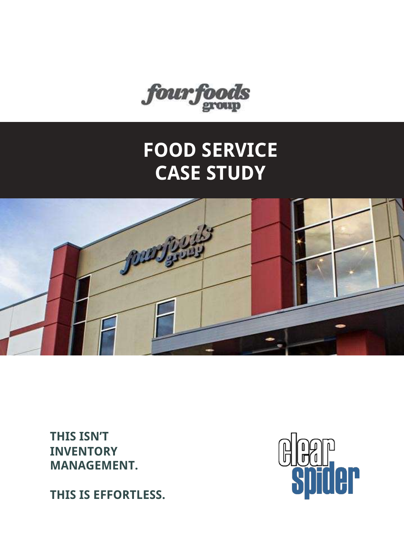

### **FOOD SERVICE CASE STUDY**



**THIS ISN'T INVENTORY MANAGEMENT.**

**THIS IS EFFORTLESS.**

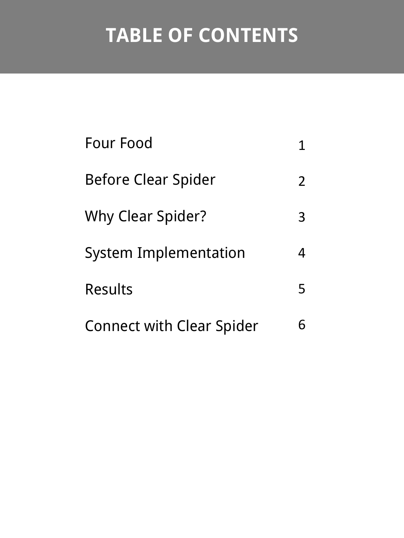# **TABLE OF CONTENTS**

| Four Food                        |                |
|----------------------------------|----------------|
| <b>Before Clear Spider</b>       | $\overline{2}$ |
| <b>Why Clear Spider?</b>         | 3              |
| <b>System Implementation</b>     | 4              |
| <b>Results</b>                   | 5              |
| <b>Connect with Clear Spider</b> |                |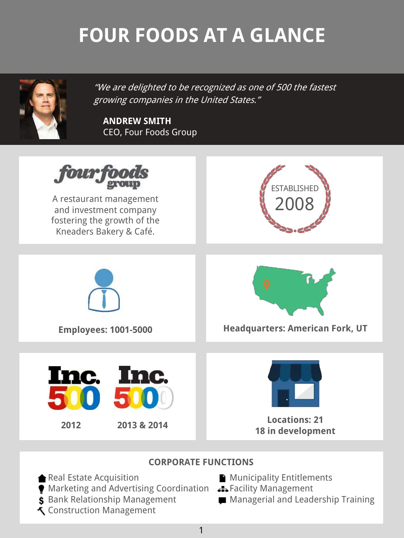# **FOUR FOODS AT A GLANCE**



"We are delighted to be recognized as one of 500 the fastest growing companies in the United States."

**ANDREW SMITH** CEO, Four Foods Group



### **CORPORATE FUNCTIONS**

- Real Estate Acquisition
- Marketing and Advertising Coordination **3.** Facility Management
- \$ Bank Relationship Management
- Construction Management
- Municipality Entitlements
- 
- **Managerial and Leadership Training**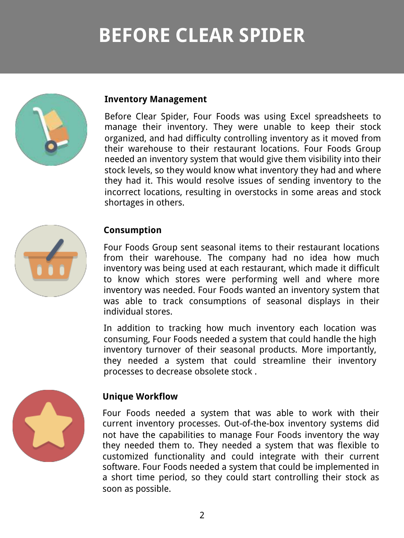## **BEFORE CLEAR SPIDER**



### **Inventory Management**

Before Clear Spider, Four Foods was using Excel spreadsheets to manage their inventory. They were unable to keep their stock organized, and had difficulty controlling inventory as it moved from their warehouse to their restaurant locations. Four Foods Group needed an inventory system that would give them visibility into their stock levels, so they would know what inventory they had and where they had it. This would resolve issues of sending inventory to the incorrect locations, resulting in overstocks in some areas and stock shortages in others.



### **Consumption**

Four Foods Group sent seasonal items to their restaurant locations from their warehouse. The company had no idea how much inventory was being used at each restaurant, which made it difficult to know which stores were performing well and where more inventory was needed. Four Foods wanted an inventory system that was able to track consumptions of seasonal displays in their individual stores.

In addition to tracking how much inventory each location was consuming, Four Foods needed a system that could handle the high inventory turnover of their seasonal products. More importantly, they needed a system that could streamline their inventory processes to decrease obsolete stock .



### **Unique Workflow**

Four Foods needed a system that was able to work with their current inventory processes. Out-of-the-box inventory systems did not have the capabilities to manage Four Foods inventory the way they needed them to. They needed a system that was flexible to customized functionality and could integrate with their current software. Four Foods needed a system that could be implemented in a short time period, so they could start controlling their stock as soon as possible.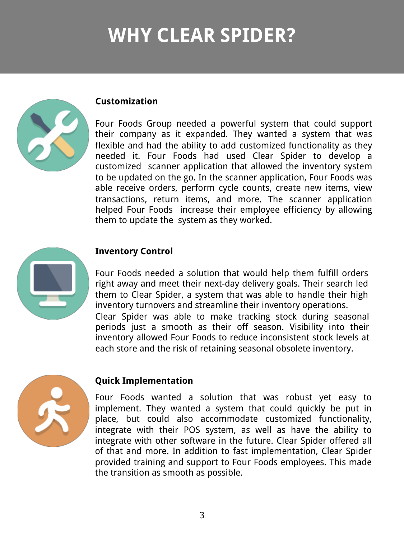## **WHY CLEAR SPIDER?**



#### **Customization**

Four Foods Group needed a powerful system that could support their company as it expanded. They wanted a system that was flexible and had the ability to add customized functionality as they needed it. Four Foods had used Clear Spider to develop a customized scanner application that allowed the inventory system to be updated on the go. In the scanner application, Four Foods was able receive orders, perform cycle counts, create new items, view transactions, return items, and more. The scanner application helped Four Foods increase their employee efficiency by allowing them to update the system as they worked.



### **Inventory Control**

Four Foods needed a solution that would help them fulfill orders right away and meet their next-day delivery goals. Their search led them to Clear Spider, a system that was able to handle their high inventory turnovers and streamline their inventory operations.

Clear Spider was able to make tracking stock during seasonal periods just a smooth as their off season. Visibility into their inventory allowed Four Foods to reduce inconsistent stock levels at each store and the risk of retaining seasonal obsolete inventory.



### **Quick Implementation**

Four Foods wanted a solution that was robust yet easy to implement. They wanted a system that could quickly be put in place, but could also accommodate customized functionality, integrate with their POS system, as well as have the ability to integrate with other software in the future. Clear Spider offered all of that and more. In addition to fast implementation, Clear Spider provided training and support to Four Foods employees. This made the transition as smooth as possible.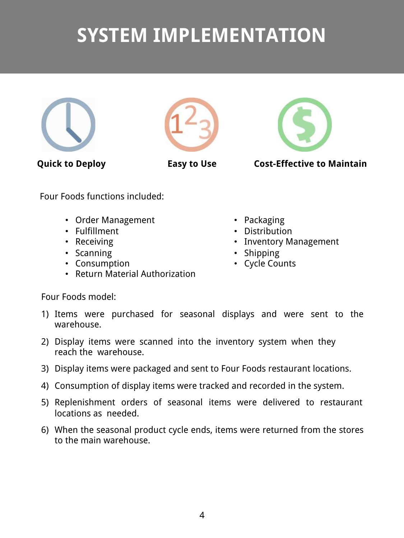### **SYSTEM IMPLEMENTATION**







**Quick to Deploy Easy to Use Cost-Effective to Maintain**

Four Foods functions included:

- Order Management
- Fulfillment
- Receiving
- Scanning
- Consumption
- Return Material Authorization
- Packaging
- Distribution
- Inventory Management
- Shipping
- Cycle Counts

Four Foods model:

- 1) Items were purchased for seasonal displays and were sent to the warehouse.
- 2) Display items were scanned into the inventory system when they reach the warehouse.
- 3) Display items were packaged and sent to Four Foods restaurant locations.
- 4) Consumption of display items were tracked and recorded in the system.
- 5) Replenishment orders of seasonal items were delivered to restaurant locations as needed.
- 6) When the seasonal product cycle ends, items were returned from the stores to the main warehouse.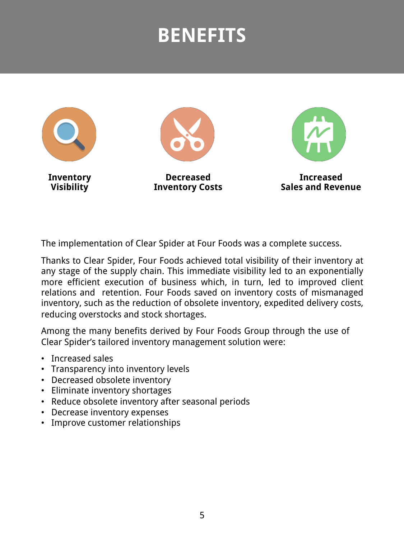### **BENEFITS**



The implementation of Clear Spider at Four Foods was a complete success.

Thanks to Clear Spider, Four Foods achieved total visibility of their inventory at any stage of the supply chain. This immediate visibility led to an exponentially more efficient execution of business which, in turn, led to improved client relations and retention. Four Foods saved on inventory costs of mismanaged inventory, such as the reduction of obsolete inventory, expedited delivery costs, reducing overstocks and stock shortages.

Among the many benefits derived by Four Foods Group through the use of Clear Spider's tailored inventory management solution were:

- Increased sales
- Transparency into inventory levels
- Decreased obsolete inventory
- Eliminate inventory shortages
- Reduce obsolete inventory after seasonal periods
- Decrease inventory expenses
- Improve customer relationships